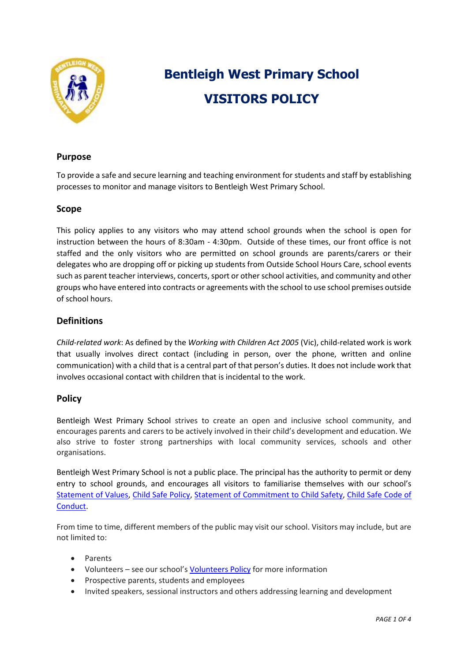

# **Bentleigh West Primary School VISITORS POLICY**

## **Purpose**

To provide a safe and secure learning and teaching environment for students and staff by establishing processes to monitor and manage visitors to Bentleigh West Primary School.

# **Scope**

This policy applies to any visitors who may attend school grounds when the school is open for instruction between the hours of 8:30am - 4:30pm. Outside of these times, our front office is not staffed and the only visitors who are permitted on school grounds are parents/carers or their delegates who are dropping off or picking up students from Outside School Hours Care, school events such as parent teacher interviews, concerts, sport or other school activities, and community and other groups who have entered into contracts or agreements with the school to use school premises outside of school hours.

# **Definitions**

*Child-related work*: As defined by the *Working with Children Act 2005* (Vic), child-related work is work that usually involves direct contact (including in person, over the phone, written and online communication) with a child that is a central part of that person's duties. It does not include work that involves occasional contact with children that is incidental to the work.

## **Policy**

Bentleigh West Primary School strives to create an open and inclusive school community, and encourages parents and carers to be actively involved in their child's development and education. We also strive to foster strong partnerships with local community services, schools and other organisations.

Bentleigh West Primary School is not a public place. The principal has the authority to permit or deny entry to school grounds, and encourages all visitors to familiarise themselves with our school's [Statement of Values,](https://www.bentleighwestps.vic.edu.au/our-policies) [Child Safe Policy, Statement of Commitment to Child Safety, Child Safe Code of](https://www.bentleighwestps.vic.edu.au/child-safe)  [Conduct.](file://///4318AFS01/Users/School%20Docs/SCHOOL%20COUNCIL/NEW%20POLICIES/Child%20Safety%20Code%20of%20Conduct.pdf)

From time to time, different members of the public may visit our school. Visitors may include, but are not limited to:

- Parents
- Volunteers see our school's [Volunteers Policy](https://www.bentleighwestps.vic.edu.au/our-policies) for more information
- Prospective parents, students and employees
- Invited speakers, sessional instructors and others addressing learning and development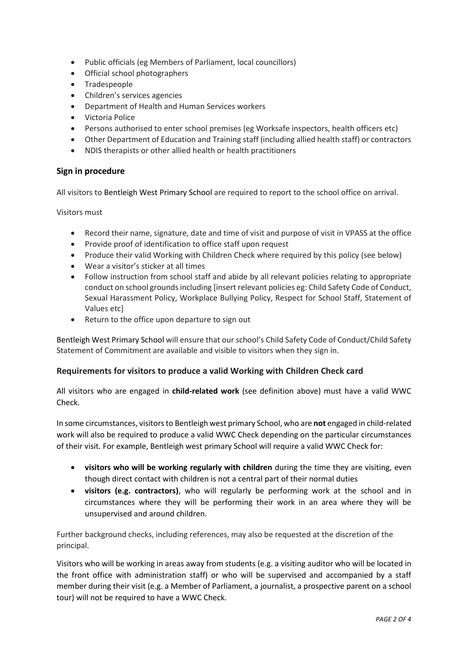- Public officials (eg Members of Parliament, local councillors)
- Official school photographers
- Tradespeople
- Children's services agencies
- Department of Health and Human Services workers
- Victoria Police
- Persons authorised to enter school premises (eg Worksafe inspectors, health officers etc)
- Other Department of Education and Training staff (including allied health staff) or contractors
- NDIS therapists or other allied health or health practitioners

## **Sign in procedure**

All visitors to Bentleigh West Primary School are required to report to the school office on arrival.

Visitors must

- Record their name, signature, date and time of visit and purpose of visit in VPASS at the office
- Provide proof of identification to office staff upon request
- Produce their valid Working with Children Check where required by this policy (see below)
- Wear a visitor's sticker at all times
- Follow instruction from school staff and abide by all relevant policies relating to appropriate conduct on school grounds including [insert relevant policies eg: Child Safety Code of Conduct, Sexual Harassment Policy, Workplace Bullying Policy, Respect for School Staff, Statement of Values etc]
- Return to the office upon departure to sign out

Bentleigh West Primary School will ensure that our school's Child Safety Code of Conduct/Child Safety Statement of Commitment are available and visible to visitors when they sign in.

## **Requirements for visitors to produce a valid Working with Children Check card**

All visitors who are engaged in **child-related work** (see definition above) must have a valid WWC Check.

In some circumstances, visitors to Bentleigh west primary School, who are **not** engaged in child-related work will also be required to produce a valid WWC Check depending on the particular circumstances of their visit. For example, Bentleigh west primary School will require a valid WWC Check for:

- **visitors who will be working regularly with children** during the time they are visiting, even though direct contact with children is not a central part of their normal duties
- **visitors (e.g. contractors)**, who will regularly be performing work at the school and in circumstances where they will be performing their work in an area where they will be unsupervised and around children.

Further background checks, including references, may also be requested at the discretion of the principal.

Visitors who will be working in areas away from students (e.g. a visiting auditor who will be located in the front office with administration staff) or who will be supervised and accompanied by a staff member during their visit (e.g. a Member of Parliament, a journalist, a prospective parent on a school tour) will not be required to have a WWC Check.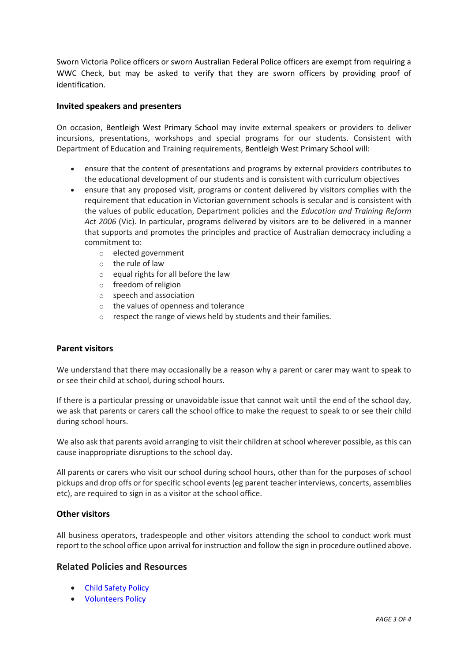Sworn Victoria Police officers or sworn Australian Federal Police officers are exempt from requiring a WWC Check, but may be asked to verify that they are sworn officers by providing proof of identification.

#### **Invited speakers and presenters**

On occasion, Bentleigh West Primary School may invite external speakers or providers to deliver incursions, presentations, workshops and special programs for our students. Consistent with Department of Education and Training requirements, Bentleigh West Primary School will:

- ensure that the content of presentations and programs by external providers contributes to the educational development of our students and is consistent with curriculum objectives
- ensure that any proposed visit, programs or content delivered by visitors complies with the requirement that education in Victorian government schools is secular and is consistent with the values of public education, Department policies and the *Education and Training Reform Act 2006* (Vic). In particular, programs delivered by visitors are to be delivered in a manner that supports and promotes the principles and practice of Australian democracy including a commitment to:
	- o elected government
	- o the rule of law
	- o equal rights for all before the law
	- o freedom of religion
	- o speech and association
	- o the values of openness and tolerance
	- o respect the range of views held by students and their families.

#### **Parent visitors**

We understand that there may occasionally be a reason why a parent or carer may want to speak to or see their child at school, during school hours.

If there is a particular pressing or unavoidable issue that cannot wait until the end of the school day, we ask that parents or carers call the school office to make the request to speak to or see their child during school hours.

We also ask that parents avoid arranging to visit their children at school wherever possible, as this can cause inappropriate disruptions to the school day.

All parents or carers who visit our school during school hours, other than for the purposes of school pickups and drop offs or for specific school events (eg parent teacher interviews, concerts, assemblies etc), are required to sign in as a visitor at the school office.

#### **Other visitors**

All business operators, tradespeople and other visitors attending the school to conduct work must report to the school office upon arrival for instruction and follow the sign in procedure outlined above.

#### **Related Policies and Resources**

- [Child Safety Policy](https://www.bentleighwestps.vic.edu.au/child-safe)
- [Volunteers Policy](https://www.bentleighwestps.vic.edu.au/our-policies)